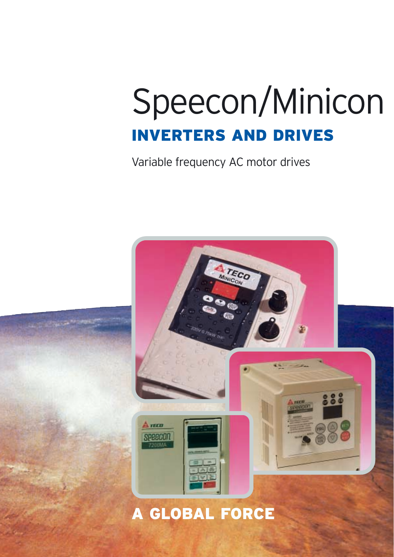### Speecon/Minicon INVERTERS AND DRIVES

Variable frequency AC motor drives

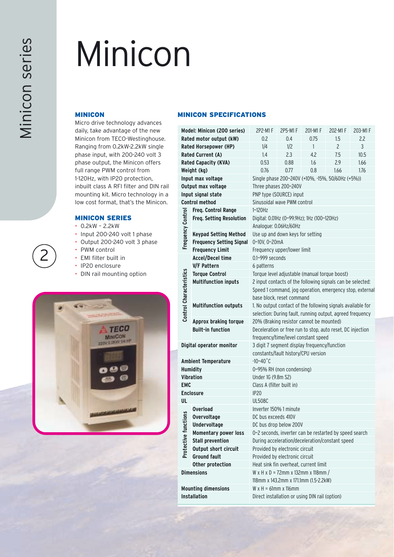### Minicon

#### MINICON

Micro drive technology advances daily, take advantage of the new Minicon from TECO-Westinghouse. Ranging from 0.2kW-2.2kW single phase input, with 200-240 volt 3 phase output, the Minicon offers full range PWM control from 1-120Hz, with IP20 protection, inbuilt class A RFI filter and DIN rail mounting kit. Micro technology in a low cost format, that's the Minicon.

#### MINICON SERIES

- 0.2kW 2.2kW
- Input 200-240 volt 1 phase
- Output 200-240 volt 3 phase
- PWM control
- EMI filter built in
- IP20 enclosure
- DIN rail mounting option



#### MINICON SPECIFICATIONS

|                                                       | Model: Minicon (200 series)                 | 2P2-M1 F<br>2P5-M1 F<br>201-M1 F<br>202-M1F<br>203-M1 F               |                           |                                                           |      |      |  |  |  |  |  |  |  |  |  |
|-------------------------------------------------------|---------------------------------------------|-----------------------------------------------------------------------|---------------------------|-----------------------------------------------------------|------|------|--|--|--|--|--|--|--|--|--|
|                                                       | Rated motor output (kW)                     | 0.2                                                                   | 0.4<br>0.75<br>1.5<br>2.2 |                                                           |      |      |  |  |  |  |  |  |  |  |  |
|                                                       | <b>Rated Horsepower (HP)</b>                | 1/4                                                                   | 1/2                       | 1                                                         | 2    | 3    |  |  |  |  |  |  |  |  |  |
|                                                       | <b>Rated Current (A)</b>                    | 1.4                                                                   | 2.3                       | 4.2                                                       | 7.5  | 10.5 |  |  |  |  |  |  |  |  |  |
|                                                       | <b>Rated Capacity (KVA)</b>                 | 0.53                                                                  | 0.88                      | 1.6                                                       | 2.9  | 1.66 |  |  |  |  |  |  |  |  |  |
|                                                       | Weight (kg)                                 | 0.76                                                                  | 0.77                      | 0.8                                                       | 1.66 | 1.76 |  |  |  |  |  |  |  |  |  |
|                                                       | Input max voltage                           | Single phase 200~240V (+10%, -15%, 50/60Hz (+5%))                     |                           |                                                           |      |      |  |  |  |  |  |  |  |  |  |
|                                                       | Output max voltage                          | Three phases 200~240V                                                 |                           |                                                           |      |      |  |  |  |  |  |  |  |  |  |
|                                                       | Input signal state                          | PNP type (SOURCE) input                                               |                           |                                                           |      |      |  |  |  |  |  |  |  |  |  |
|                                                       | <b>Control method</b>                       | Sinusoidal wave PWM control                                           |                           |                                                           |      |      |  |  |  |  |  |  |  |  |  |
|                                                       | Freq. Control Range                         | 1~120Hz                                                               |                           |                                                           |      |      |  |  |  |  |  |  |  |  |  |
|                                                       | Freq. Setting Resolution                    | Digital: 0.01Hz (0~99.9Hz); 1Hz (100~120Hz)                           |                           |                                                           |      |      |  |  |  |  |  |  |  |  |  |
|                                                       |                                             | Analogue: 0.06Hz/60Hz                                                 |                           |                                                           |      |      |  |  |  |  |  |  |  |  |  |
| <b>Frequency Control</b>                              | <b>Keypad Setting Method</b>                | Use up and down keys for setting                                      |                           |                                                           |      |      |  |  |  |  |  |  |  |  |  |
|                                                       | <b>Frequency Setting Signal</b>             | 0~10V, 0~20mA                                                         |                           |                                                           |      |      |  |  |  |  |  |  |  |  |  |
| <b>Frequency Limit</b><br>Frequency upper/lower limit |                                             |                                                                       |                           |                                                           |      |      |  |  |  |  |  |  |  |  |  |
|                                                       | <b>Accel/Decel time</b>                     | $0.1 - 999$ seconds                                                   |                           |                                                           |      |      |  |  |  |  |  |  |  |  |  |
|                                                       | <b>V/F Pattern</b>                          | 6 patterns                                                            |                           |                                                           |      |      |  |  |  |  |  |  |  |  |  |
|                                                       | <b>Torque Control</b>                       | Torque level adjustable (manual torque boost)                         |                           |                                                           |      |      |  |  |  |  |  |  |  |  |  |
| Control Characteristics                               | <b>Multifunction inputs</b>                 | 2 input contacts of the following signals can be selected:            |                           |                                                           |      |      |  |  |  |  |  |  |  |  |  |
|                                                       |                                             | Speed 1 command, jog operation, emergency stop, external              |                           |                                                           |      |      |  |  |  |  |  |  |  |  |  |
|                                                       |                                             | base block, reset command                                             |                           |                                                           |      |      |  |  |  |  |  |  |  |  |  |
|                                                       | <b>Multifunction outputs</b>                | 1. No output contact of the following signals available for           |                           |                                                           |      |      |  |  |  |  |  |  |  |  |  |
|                                                       |                                             |                                                                       |                           | selection: During fault, running output, agreed frequency |      |      |  |  |  |  |  |  |  |  |  |
|                                                       | Approx braking torque                       | 20% (Braking resistor cannot be mounted)                              |                           |                                                           |      |      |  |  |  |  |  |  |  |  |  |
|                                                       | <b>Built-in function</b>                    | Deceleration or free run to stop, auto reset, DC injection            |                           |                                                           |      |      |  |  |  |  |  |  |  |  |  |
|                                                       |                                             | frequency/time/level constant speed                                   |                           |                                                           |      |      |  |  |  |  |  |  |  |  |  |
|                                                       | Digital operator monitor                    | 3 digit 7 segment display frequency/function                          |                           |                                                           |      |      |  |  |  |  |  |  |  |  |  |
|                                                       |                                             |                                                                       |                           | constants/fault history/CPU version                       |      |      |  |  |  |  |  |  |  |  |  |
|                                                       | <b>Ambient Temperature</b>                  | $-10 - 40$ °C                                                         |                           |                                                           |      |      |  |  |  |  |  |  |  |  |  |
|                                                       | <b>Humidity</b>                             | 0~95% RH (non condensing)                                             |                           |                                                           |      |      |  |  |  |  |  |  |  |  |  |
|                                                       | Vibration                                   | Under 1G (9.8m S2)                                                    |                           |                                                           |      |      |  |  |  |  |  |  |  |  |  |
| EMC                                                   |                                             | Class A (filter built in)                                             |                           |                                                           |      |      |  |  |  |  |  |  |  |  |  |
|                                                       | <b>Enclosure</b>                            | <b>IP20</b>                                                           |                           |                                                           |      |      |  |  |  |  |  |  |  |  |  |
| UL                                                    |                                             | <b>UL508C</b>                                                         |                           |                                                           |      |      |  |  |  |  |  |  |  |  |  |
|                                                       | <b>Overload</b>                             | Inverter 150% 1 minute                                                |                           |                                                           |      |      |  |  |  |  |  |  |  |  |  |
| tions                                                 | Overvoltage                                 | DC bus exceeds 410V                                                   |                           |                                                           |      |      |  |  |  |  |  |  |  |  |  |
|                                                       | Undervoltage                                | DC bus drop below 200V                                                |                           |                                                           |      |      |  |  |  |  |  |  |  |  |  |
|                                                       | <b>Momentary power loss</b>                 |                                                                       |                           | 0~2 seconds, inverter can be restarted by speed search    |      |      |  |  |  |  |  |  |  |  |  |
| Protective func                                       | <b>Stall prevention</b>                     |                                                                       |                           | During acceleration/deceleration/constant speed           |      |      |  |  |  |  |  |  |  |  |  |
|                                                       | Output short circuit<br><b>Ground fault</b> | Provided by electronic circuit                                        |                           |                                                           |      |      |  |  |  |  |  |  |  |  |  |
|                                                       | Other protection                            | Provided by electronic circuit                                        |                           |                                                           |      |      |  |  |  |  |  |  |  |  |  |
|                                                       | <b>Dimensions</b>                           |                                                                       |                           | Heat sink fin overheat, current limit                     |      |      |  |  |  |  |  |  |  |  |  |
|                                                       |                                             |                                                                       |                           | $W \times H \times D = 72$ mm x 132mm x 118mm /           |      |      |  |  |  |  |  |  |  |  |  |
|                                                       | <b>Mounting dimensions</b>                  | 118mm x 143.2mm x 171.1mm (1.5-2.2kW)<br>$W \times H = 61$ mm x 116mm |                           |                                                           |      |      |  |  |  |  |  |  |  |  |  |
|                                                       | <b>Installation</b>                         | Direct installation or using DIN rail (option)                        |                           |                                                           |      |      |  |  |  |  |  |  |  |  |  |
|                                                       |                                             |                                                                       |                           |                                                           |      |      |  |  |  |  |  |  |  |  |  |
|                                                       |                                             |                                                                       |                           |                                                           |      |      |  |  |  |  |  |  |  |  |  |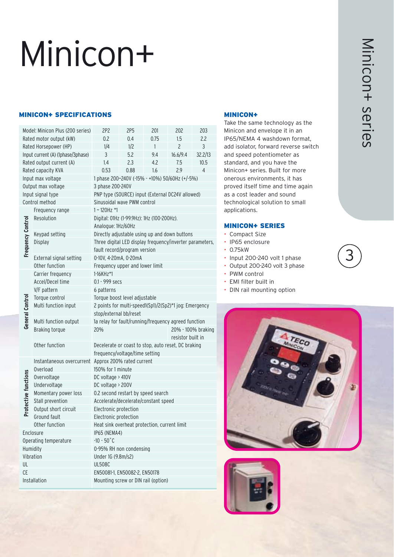## Minicon+

#### MINICON+ SPECIFICATIONS MINICON+

|                          | Model: Minicon Plus (200 series)  | 2P <sub>2</sub>                                                                          | 2P5<br>201<br>202<br>203 |                    |                |         |  |  |  |  |  |  |  |
|--------------------------|-----------------------------------|------------------------------------------------------------------------------------------|--------------------------|--------------------|----------------|---------|--|--|--|--|--|--|--|
|                          | Rated motor output (kW)           | 0.2                                                                                      | 0.4                      | 0.75               | 1.5            | 2.2     |  |  |  |  |  |  |  |
|                          | Rated Horsepower (HP)             | 1/4                                                                                      | 1/2                      | $\mathbf{1}$       | $\overline{c}$ | 3       |  |  |  |  |  |  |  |
|                          | Input current (A) (1phase/3phase) | 3                                                                                        | 5.2                      | 9.4                | 16.6/9.4       | 32.2/13 |  |  |  |  |  |  |  |
|                          | Rated output current (A)          | 1.4                                                                                      | 2.3                      | 4.2                | 7.5            | 10.5    |  |  |  |  |  |  |  |
|                          | Rated capacity KVA                | 0.53                                                                                     | 0.88                     | 1.6                | 2.9            | 4       |  |  |  |  |  |  |  |
|                          | Input max voltage                 | 1 phase 200~240V (-15% - +10%) 50/60Hz (+/-5%)                                           |                          |                    |                |         |  |  |  |  |  |  |  |
|                          | Output max voltage                | 3 phase 200-240V                                                                         |                          |                    |                |         |  |  |  |  |  |  |  |
|                          | Input signal type                 | PNP type (SOURCE) input (External DC24V allowed)                                         |                          |                    |                |         |  |  |  |  |  |  |  |
|                          | Control method                    | Sinusoidal wave PWM control                                                              |                          |                    |                |         |  |  |  |  |  |  |  |
|                          | Frequency range                   | 1~120Hz *1                                                                               |                          |                    |                |         |  |  |  |  |  |  |  |
|                          | Resolution                        | Digital: 01Hz (1-99.9Hz): 1Hz (100-200Hz).                                               |                          |                    |                |         |  |  |  |  |  |  |  |
|                          |                                   | Analogue: 1Hz/60Hz                                                                       |                          |                    |                |         |  |  |  |  |  |  |  |
|                          | Keypad setting                    | Directly adjustable using up and down buttons                                            |                          |                    |                |         |  |  |  |  |  |  |  |
| <b>Frequency Control</b> | Display                           | Three digital LED display frequency/inverter parameters,<br>fault record/program version |                          |                    |                |         |  |  |  |  |  |  |  |
|                          | External signal setting           | 0-10V, 4-20mA, 0-20mA                                                                    |                          |                    |                |         |  |  |  |  |  |  |  |
|                          | Other function                    | Frequency upper and lower limit                                                          |                          |                    |                |         |  |  |  |  |  |  |  |
|                          | Carrier frequency                 | $1 - 16K$ Hz <sup>*</sup> 1                                                              |                          |                    |                |         |  |  |  |  |  |  |  |
|                          | Accel/Decel time                  | 0.1 - 999 secs                                                                           |                          |                    |                |         |  |  |  |  |  |  |  |
|                          | V/F pattern                       | 6 patterns                                                                               |                          |                    |                |         |  |  |  |  |  |  |  |
| General Control          | Torque control                    | Torque boost level adjustable                                                            |                          |                    |                |         |  |  |  |  |  |  |  |
|                          | Multi function input              | 2 points for multi-speed1(Sp1)/2(Sp2)*1 jog: Emergency                                   |                          |                    |                |         |  |  |  |  |  |  |  |
|                          |                                   | stop/external bb/reset                                                                   |                          |                    |                |         |  |  |  |  |  |  |  |
|                          | Multi function output             | 1a relay for fault/running/frequency agreed function                                     |                          |                    |                |         |  |  |  |  |  |  |  |
|                          | Braking torque                    | 20%                                                                                      |                          | 20% - 100% braking |                |         |  |  |  |  |  |  |  |
|                          |                                   | resistor built in                                                                        |                          |                    |                |         |  |  |  |  |  |  |  |
|                          | Other function                    | Decelerate or coast to stop, auto reset, DC braking                                      |                          |                    |                |         |  |  |  |  |  |  |  |
|                          | Instantaneous overcurrent         | frequency/voltage/time setting                                                           |                          |                    |                |         |  |  |  |  |  |  |  |
|                          | Overload                          | Approx 200% rated current<br>150% for 1 minute                                           |                          |                    |                |         |  |  |  |  |  |  |  |
|                          | Overvoltage                       | $DC$ voltage > 410V                                                                      |                          |                    |                |         |  |  |  |  |  |  |  |
|                          | Undervoltage                      | DC voltage > 200V                                                                        |                          |                    |                |         |  |  |  |  |  |  |  |
| Protective functions     | Momentary power loss              | 0.2 second restart by speed search                                                       |                          |                    |                |         |  |  |  |  |  |  |  |
|                          | Stall prevention                  | Accelerate/decelerate/constant speed                                                     |                          |                    |                |         |  |  |  |  |  |  |  |
|                          | Output short circuit              | Electronic protection                                                                    |                          |                    |                |         |  |  |  |  |  |  |  |
|                          | Ground fault                      | Electronic protection                                                                    |                          |                    |                |         |  |  |  |  |  |  |  |
|                          | Other function                    | Heat sink overheat protection, current limit                                             |                          |                    |                |         |  |  |  |  |  |  |  |
|                          | Enclosure                         | IP65 (NEMA4)                                                                             |                          |                    |                |         |  |  |  |  |  |  |  |
|                          | Operating temperature             | $-10 - 50^{\circ}$ C                                                                     |                          |                    |                |         |  |  |  |  |  |  |  |
| Humidity                 |                                   | 0-95% RH non condensing                                                                  |                          |                    |                |         |  |  |  |  |  |  |  |
| Vibration                |                                   | Under 1G (9.8m/s2)                                                                       |                          |                    |                |         |  |  |  |  |  |  |  |
| UL                       |                                   | <b>UL508C</b>                                                                            |                          |                    |                |         |  |  |  |  |  |  |  |
| CE                       |                                   | EN50081-1, EN50082-2, EN50178                                                            |                          |                    |                |         |  |  |  |  |  |  |  |
|                          | Installation                      | Mounting screw or DIN rail (option)                                                      |                          |                    |                |         |  |  |  |  |  |  |  |

Take the same technology as the Minicon and envelope it in an IP65/NEMA 4 washdown format, add isolator, forward reverse switch and speed potentiometer as standard, and you have the Minicon+ series. Built for more onerous environments, it has proved itself time and time again as a cost leader and sound technological solution to small applications.

#### MINICON+ SERIES

- Compact Size
- IP65 enclosure
- 0.75kW
- Input 200-240 volt 1 phase
- Output 200-240 volt 3 phase
- PWM control
- EMI filter built in
- DIN rail mounting option





3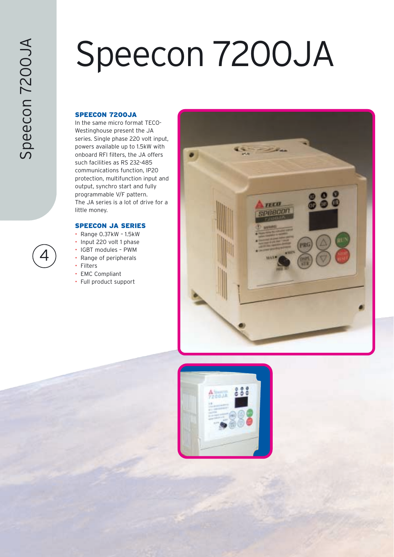# Speecon 7200JA

#### SPEECON 7200JA

In the same micro format TECO-Westinghouse present the JA series. Single phase 220 volt input, powers available up to 1.5kW with onboard RFI filters, the JA offers such facilities as RS 232-485 communications function, IP20 protection, multifunction input and output, synchro start and fully programmable V/F pattern. The JA series is a lot of drive for a little money.

#### SPEECON JA SERIES

- Range 0.37kW 1.5kW
- Input 220 volt 1 phase
- IGBT modules PWM
- Range of peripherals
- Filters
- EMC Compliant
- Full product support



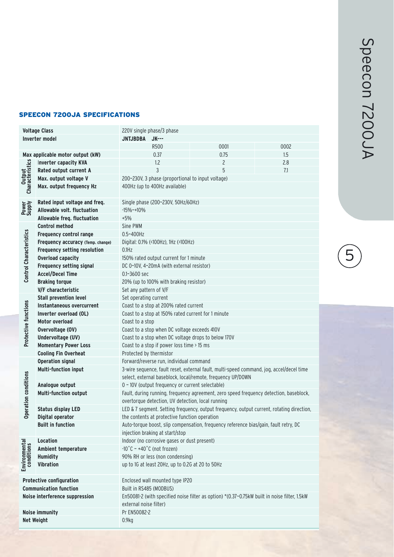#### SPEECON 7200JA SPECIFICATIONS

|                                | <b>Voltage Class</b>                                               | 220V single phase/3 phase                                                                    |      |      |  |  |  |  |  |  |  |  |  |  |
|--------------------------------|--------------------------------------------------------------------|----------------------------------------------------------------------------------------------|------|------|--|--|--|--|--|--|--|--|--|--|
|                                | <b>Inverter model</b>                                              | <b>JNTJBDBA</b><br><b>JK---</b>                                                              |      |      |  |  |  |  |  |  |  |  |  |  |
|                                |                                                                    | R500                                                                                         | 0001 | 0002 |  |  |  |  |  |  |  |  |  |  |
|                                | Max applicable motor output (kW)                                   | 0.37                                                                                         | 0.75 | 1.5  |  |  |  |  |  |  |  |  |  |  |
|                                | Inverter capacity KVA                                              | 1.2                                                                                          | 2    | 2.8  |  |  |  |  |  |  |  |  |  |  |
|                                | Rated output current A                                             | 3                                                                                            | 5    | 7.1  |  |  |  |  |  |  |  |  |  |  |
|                                | Max. output voltage V                                              | 200~230V, 3 phase (proportional to input voltage)                                            |      |      |  |  |  |  |  |  |  |  |  |  |
| Output<br>Characteristics      | Max. output frequency Hz                                           | 400Hz (up to 400Hz available)                                                                |      |      |  |  |  |  |  |  |  |  |  |  |
|                                |                                                                    |                                                                                              |      |      |  |  |  |  |  |  |  |  |  |  |
|                                | Rated input voltage and freq.                                      | Single phase (200~230V, 50Hz/60Hz)                                                           |      |      |  |  |  |  |  |  |  |  |  |  |
| Power<br>Supply                | Allowable volt. fluctuation                                        | $-15%$ ~ $+10%$                                                                              |      |      |  |  |  |  |  |  |  |  |  |  |
|                                | Allowable freq. fluctuation                                        | $+5%$                                                                                        |      |      |  |  |  |  |  |  |  |  |  |  |
|                                | <b>Control method</b>                                              | Sine PWM                                                                                     |      |      |  |  |  |  |  |  |  |  |  |  |
|                                | <b>Frequency control range</b>                                     | 0.5~400Hz                                                                                    |      |      |  |  |  |  |  |  |  |  |  |  |
|                                | Frequency accuracy (Temp. change)                                  | Digital: 0.1% (<100Hz), 1Hz (>100Hz)                                                         |      |      |  |  |  |  |  |  |  |  |  |  |
|                                | Frequency setting resolution                                       | $0.1$ Hz                                                                                     |      |      |  |  |  |  |  |  |  |  |  |  |
| <b>Control Characteristics</b> | <b>Overload capacity</b><br>150% rated output current for 1 minute |                                                                                              |      |      |  |  |  |  |  |  |  |  |  |  |
|                                | <b>Frequency setting signal</b>                                    | DC 0~10V, 4~20mA (with external resistor)                                                    |      |      |  |  |  |  |  |  |  |  |  |  |
|                                | <b>Accel/Decel Time</b>                                            | 0.1~3600 sec                                                                                 |      |      |  |  |  |  |  |  |  |  |  |  |
|                                | <b>Braking torque</b><br>20% (up to 100% with braking resistor)    |                                                                                              |      |      |  |  |  |  |  |  |  |  |  |  |
|                                | V/F characteristic                                                 | Set any pattern of V/F                                                                       |      |      |  |  |  |  |  |  |  |  |  |  |
|                                | <b>Stall prevention level</b>                                      | Set operating current                                                                        |      |      |  |  |  |  |  |  |  |  |  |  |
|                                | Instantaneous overcurrent                                          | Coast to a stop at 200% rated current                                                        |      |      |  |  |  |  |  |  |  |  |  |  |
|                                | Inverter overload (OL)                                             | Coast to a stop at 150% rated current for 1 minute                                           |      |      |  |  |  |  |  |  |  |  |  |  |
| Protective functions           | Motor overload                                                     | Coast to a stop                                                                              |      |      |  |  |  |  |  |  |  |  |  |  |
|                                | Overvoltage (OV)                                                   | Coast to a stop when DC voltage exceeds 410V                                                 |      |      |  |  |  |  |  |  |  |  |  |  |
|                                | Undervoltage (UV)                                                  | Coast to a stop when DC voltage drops to below 170V                                          |      |      |  |  |  |  |  |  |  |  |  |  |
|                                | <b>Momentary Power Loss</b>                                        | Coast to a stop if power loss time > 15 ms                                                   |      |      |  |  |  |  |  |  |  |  |  |  |
|                                | <b>Cooling Fin Overheat</b>                                        | Protected by thermistor                                                                      |      |      |  |  |  |  |  |  |  |  |  |  |
|                                | <b>Operation signal</b>                                            | Forward/reverse run, individual command                                                      |      |      |  |  |  |  |  |  |  |  |  |  |
|                                | Multi-function input                                               | 3-wire sequence, fault reset, external fault, multi-speed command, jog, accel/decel time     |      |      |  |  |  |  |  |  |  |  |  |  |
|                                |                                                                    | select, external baseblock, local/remote, frequency UP/DOWN                                  |      |      |  |  |  |  |  |  |  |  |  |  |
|                                | Analogue output                                                    | 0 ~ 10V (output frequency or current selectable)                                             |      |      |  |  |  |  |  |  |  |  |  |  |
| <b>Operation conditions</b>    | <b>Multi-function output</b>                                       | Fault, during running, frequency agreement, zero speed frequency detection, baseblock,       |      |      |  |  |  |  |  |  |  |  |  |  |
|                                |                                                                    | overtorque detection, UV detection, local running                                            |      |      |  |  |  |  |  |  |  |  |  |  |
|                                | <b>Status display LED</b>                                          | LED & 7 segment. Setting frequency, output frequency, output current, rotating direction,    |      |      |  |  |  |  |  |  |  |  |  |  |
|                                | Digital operator                                                   | the contents at protective function operation                                                |      |      |  |  |  |  |  |  |  |  |  |  |
|                                | <b>Built in function</b>                                           | Auto-torque boost, slip compensation, frequency reference bias/gain, fault retry, DC         |      |      |  |  |  |  |  |  |  |  |  |  |
|                                |                                                                    | injection braking at start/stop                                                              |      |      |  |  |  |  |  |  |  |  |  |  |
|                                | Location                                                           | Indoor (no corrosive gases or dust present)                                                  |      |      |  |  |  |  |  |  |  |  |  |  |
|                                | Ambient temperature                                                | $-10\degree$ C ~ $+40\degree$ C (not frozen)                                                 |      |      |  |  |  |  |  |  |  |  |  |  |
|                                | <b>Humidity</b>                                                    | 90% RH or less (non condensing)                                                              |      |      |  |  |  |  |  |  |  |  |  |  |
| Environmental<br>conditions    | <b>Vibration</b>                                                   | up to 1G at least 20Hz, up to 0.2G at 20 to 50Hz                                             |      |      |  |  |  |  |  |  |  |  |  |  |
|                                |                                                                    |                                                                                              |      |      |  |  |  |  |  |  |  |  |  |  |
|                                | <b>Protective configuration</b>                                    | Enclosed wall mounted type IP20                                                              |      |      |  |  |  |  |  |  |  |  |  |  |
|                                | <b>Communication function</b>                                      | Built in RS485 (MODBUS)                                                                      |      |      |  |  |  |  |  |  |  |  |  |  |
|                                | Noise interference suppression                                     | En50081-2 (with specified noise filter as option) *(0.37~0.75kW built in noise filter, 1.5kW |      |      |  |  |  |  |  |  |  |  |  |  |
|                                |                                                                    | external noise filter)                                                                       |      |      |  |  |  |  |  |  |  |  |  |  |
|                                | Noise immunity                                                     | Pr EN50082-2                                                                                 |      |      |  |  |  |  |  |  |  |  |  |  |
| <b>Net Weight</b>              |                                                                    | 0.9kg                                                                                        |      |      |  |  |  |  |  |  |  |  |  |  |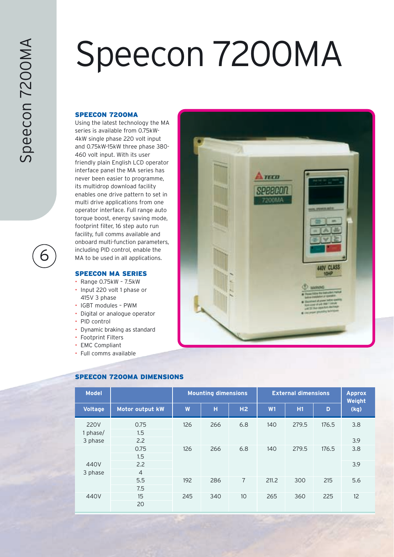### Speecon 7200MA

#### SPEECON 7200MA

Using the latest technology the MA series is available from 0.75kW-4kW single phase 220 volt input and 0.75kW-15kW three phase 380- 460 volt input. With its user friendly plain English LCD operator interface panel the MA series has never been easier to programme, its multidrop download facility enables one drive pattern to set in multi drive applications from one operator interface. Full range auto torque boost, energy saving mode, footprint filter, 16 step auto run facility, full comms available and onboard multi-function parameters, including PID control, enable the MA to be used in all applications.

#### SPEECON MA SERIES

- Range 0.75kW 7.5kW
- Input 220 volt 1 phase or 415V 3 phase
- IGBT modules PWM
- Digital or analogue operator
- PID control
- Dynamic braking as standard
- Footprint Filters
- **EMC Compliant**
- Full comms available



| <b>Model</b>                       |                    |     | <b>Mounting dimensions</b> |                 | <b>External dimensions</b> | <b>Approx</b><br>Weight |       |            |
|------------------------------------|--------------------|-----|----------------------------|-----------------|----------------------------|-------------------------|-------|------------|
| <b>Voltage</b>                     | Motor output kW    | W   | н                          | H2              | W1                         | H1                      | D     | (kg)       |
| <b>220V</b><br>1 phase/<br>3 phase | 0.75<br>1.5<br>2.2 | 126 | 266                        | 6.8             | 140                        | 279.5                   | 176.5 | 3.8<br>3.9 |
| 440V                               | 0.75<br>1.5<br>2.2 | 126 | 266                        | 6.8             | 140                        | 279.5                   | 176.5 | 3.8<br>3.9 |
| 3 phase                            | $\overline{4}$     |     |                            |                 |                            |                         |       |            |
|                                    | 5.5<br>7.5         | 192 | 286                        | $\overline{7}$  | 211.2                      | 300                     | 215   | 5.6        |
| 440V                               | 15<br>20           | 245 | 340                        | 10 <sup>°</sup> | 265                        | 360                     | 225   | 12         |

#### SPEECON 7200MA DIMENSIONS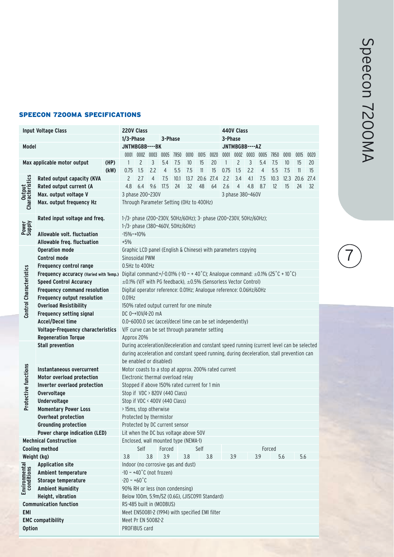#### SPEECON 7200MA SPECIFICATIONS

|                                | <b>Input Voltage Class</b>               | <b>220V Class</b><br>440V Class                                                        |                                                                                            |                |                |                          |      |      |           |      |                |                  |                     |                |                   |      |                     |      |
|--------------------------------|------------------------------------------|----------------------------------------------------------------------------------------|--------------------------------------------------------------------------------------------|----------------|----------------|--------------------------|------|------|-----------|------|----------------|------------------|---------------------|----------------|-------------------|------|---------------------|------|
|                                |                                          |                                                                                        | $1/3$ -Phase<br>3-Phase<br>3-Phase                                                         |                |                |                          |      |      |           |      |                |                  |                     |                |                   |      |                     |      |
| Model                          |                                          |                                                                                        | JNTMBGBB----BK<br>JNTMBGBB----AZ                                                           |                |                |                          |      |      |           |      |                |                  |                     |                |                   |      |                     |      |
|                                |                                          |                                                                                        |                                                                                            |                |                | 0001 0002 0003 0005 7R50 |      | 0010 | 0015      | 0020 |                |                  | 0001 0002 0003 0005 |                | 7R50              | 0010 | 0015                | 0020 |
|                                | Max applicable motor output              | (HP)                                                                                   | $\mathbf{1}$                                                                               | $\overline{c}$ | 3              | 5.4                      | 7.5  | 10   | 15        | 20   | $\overline{1}$ | $\overline{c}$   | 3                   | 5.4            | 7.5               | 10   | 15                  | 20   |
|                                |                                          | (kW)                                                                                   | 0.75                                                                                       | 1.5            | 2.2            | $\overline{4}$           | 5.5  | 7.5  | 11        | 15   | 0.75           | 1.5              | 2.2                 | $\overline{4}$ | 5.5               | 7.5  | 11                  | 15   |
|                                | Rated output capacity (KVA               |                                                                                        | $\overline{c}$                                                                             | 2.7            | $\overline{4}$ | 7.5                      | 10.1 | 13.7 | 20.6 27.4 |      | 2.2            | 3.4              | 4.1                 | 7.5            |                   |      | 10.3 12.3 20.6 27.4 |      |
| Output<br>Characteristics      | Rated output current (A                  |                                                                                        | 4.8                                                                                        | 6.4            | 9.6            | 17.5                     | 24   | 32   | 48        | 64   | 2.6            | $\overline{4}$   | 4.8                 | 8.7            | $12 \overline{ }$ | 15   | 24                  | 32   |
|                                | Max. output voltage V                    | 3 phase 200~230V                                                                       |                                                                                            |                |                |                          |      |      |           |      |                | 3 phase 380~460V |                     |                |                   |      |                     |      |
|                                | Max. output frequency Hz                 |                                                                                        | Through Parameter Setting (OHz to 400Hz)                                                   |                |                |                          |      |      |           |      |                |                  |                     |                |                   |      |                     |      |
|                                |                                          |                                                                                        |                                                                                            |                |                |                          |      |      |           |      |                |                  |                     |                |                   |      |                     |      |
|                                | Rated input voltage and freq.            |                                                                                        | 1-/3- phase (200~230V, 50Hz/60Hz); 3- phase (200~230V, 50Hz/60Hz);                         |                |                |                          |      |      |           |      |                |                  |                     |                |                   |      |                     |      |
| Power<br>Supply                |                                          | 1-/3- phase (380~460V, 50Hz/60Hz)                                                      |                                                                                            |                |                |                          |      |      |           |      |                |                  |                     |                |                   |      |                     |      |
|                                | Allowable volt, fluctuation              |                                                                                        | $-15%$ ~ +10%                                                                              |                |                |                          |      |      |           |      |                |                  |                     |                |                   |      |                     |      |
|                                | Allowable freq. fluctuation              |                                                                                        | $+5%$                                                                                      |                |                |                          |      |      |           |      |                |                  |                     |                |                   |      |                     |      |
|                                | <b>Operation mode</b>                    |                                                                                        | Graphic LCD panel (English & Chinese) with parameters copying                              |                |                |                          |      |      |           |      |                |                  |                     |                |                   |      |                     |      |
|                                | <b>Control mode</b>                      | Sinosoidal PWM                                                                         |                                                                                            |                |                |                          |      |      |           |      |                |                  |                     |                |                   |      |                     |      |
|                                | Frequency control range                  | 0.5Hz to 400Hz                                                                         |                                                                                            |                |                |                          |      |      |           |      |                |                  |                     |                |                   |      |                     |      |
|                                | Frequency accuracy (Varied with Temp.)   | Digital command:+/-0.01% (-10 ~ + 40 °C); Analogue command: $\pm$ 0.1% (25 °C + 10 °C) |                                                                                            |                |                |                          |      |      |           |      |                |                  |                     |                |                   |      |                     |      |
| <b>Control Characteristics</b> | <b>Speed Control Accuracy</b>            |                                                                                        | $\pm$ 0.1% (V/F with PG feedback), $\pm$ 0.5% (Sensorless Vector Control)                  |                |                |                          |      |      |           |      |                |                  |                     |                |                   |      |                     |      |
|                                | <b>Frequency command resolution</b>      |                                                                                        | Digital operator reference: 0.01Hz; Analogue reference: 0.06Hz/60Hz                        |                |                |                          |      |      |           |      |                |                  |                     |                |                   |      |                     |      |
|                                | Frequency output resolution              |                                                                                        | $0.01$ Hz                                                                                  |                |                |                          |      |      |           |      |                |                  |                     |                |                   |      |                     |      |
|                                | <b>Overload Resistibility</b>            |                                                                                        | 150% rated output current for one minute                                                   |                |                |                          |      |      |           |      |                |                  |                     |                |                   |      |                     |      |
|                                | <b>Frequency setting signal</b>          |                                                                                        | DC 0~+10V/4-20 mA                                                                          |                |                |                          |      |      |           |      |                |                  |                     |                |                   |      |                     |      |
|                                | <b>Accel/Decel time</b>                  |                                                                                        | 0.0~6000.0 sec (accel/decel time can be set independently)                                 |                |                |                          |      |      |           |      |                |                  |                     |                |                   |      |                     |      |
|                                | <b>Voltage-Frequency characteristics</b> |                                                                                        | V/F curve can be set through parameter setting                                             |                |                |                          |      |      |           |      |                |                  |                     |                |                   |      |                     |      |
|                                | <b>Regeneration Torque</b>               |                                                                                        | Approx 20%                                                                                 |                |                |                          |      |      |           |      |                |                  |                     |                |                   |      |                     |      |
|                                | <b>Stall prevention</b>                  |                                                                                        | During acceleration/deceleration and constant speed running (current level can be selected |                |                |                          |      |      |           |      |                |                  |                     |                |                   |      |                     |      |
|                                |                                          |                                                                                        | during acceleration and constant speed running, during deceleration, stall prevention can  |                |                |                          |      |      |           |      |                |                  |                     |                |                   |      |                     |      |
|                                |                                          |                                                                                        | be enabled or disabled)                                                                    |                |                |                          |      |      |           |      |                |                  |                     |                |                   |      |                     |      |
| Protective functions           | Instantaneous overcurrent                |                                                                                        | Motor coasts to a stop at approx. 200% rated current                                       |                |                |                          |      |      |           |      |                |                  |                     |                |                   |      |                     |      |
|                                | Motor overload protection                |                                                                                        | Electronic thermal overload relay                                                          |                |                |                          |      |      |           |      |                |                  |                     |                |                   |      |                     |      |
|                                | Inverter overlaod protection             | Stopped if above 150% rated current for 1 min                                          |                                                                                            |                |                |                          |      |      |           |      |                |                  |                     |                |                   |      |                     |      |
|                                | Overvoltage                              |                                                                                        | Stop if VDC > 820V (440 Class)                                                             |                |                |                          |      |      |           |      |                |                  |                     |                |                   |      |                     |      |
|                                | Undervoltage                             |                                                                                        | Stop if VDC < 400V (440 Class)                                                             |                |                |                          |      |      |           |      |                |                  |                     |                |                   |      |                     |      |
|                                | <b>Momentary Power Loss</b>              |                                                                                        | >15ms, stop otherwise                                                                      |                |                |                          |      |      |           |      |                |                  |                     |                |                   |      |                     |      |
|                                | Overheat protection                      |                                                                                        | Protected by thermistor                                                                    |                |                |                          |      |      |           |      |                |                  |                     |                |                   |      |                     |      |
|                                | <b>Grounding protection</b>              |                                                                                        | Protected by DC current sensor                                                             |                |                |                          |      |      |           |      |                |                  |                     |                |                   |      |                     |      |
|                                | Power charge indication (LED)            |                                                                                        | Lit when the DC bus voltage above 50V                                                      |                |                |                          |      |      |           |      |                |                  |                     |                |                   |      |                     |      |
|                                | <b>Mechnical Construction</b>            |                                                                                        | Enclosed, wall mounted type (NEMA-1)                                                       |                |                |                          |      |      |           |      |                |                  |                     |                |                   |      |                     |      |
|                                | <b>Cooling method</b>                    |                                                                                        | 3.8                                                                                        | Self           |                | Forced                   |      |      | Self      |      |                |                  |                     |                | Forced            |      |                     |      |
| Weight (kg)                    |                                          |                                                                                        |                                                                                            |                | 3.8            | 3.9                      |      | 3.8  |           | 3.8  |                | 3.9              |                     | 3.9            |                   | 5.6  | 5.6                 |      |
| Environmental<br>conditions    | <b>Application site</b>                  |                                                                                        | Indoor (no corrosive gas and dust)                                                         |                |                |                          |      |      |           |      |                |                  |                     |                |                   |      |                     |      |
|                                | Ambient temperature                      |                                                                                        | $-10 \sim +40^{\circ}$ C (not frozen)                                                      |                |                |                          |      |      |           |      |                |                  |                     |                |                   |      |                     |      |
|                                | Storage temperature                      | $-20 - +60^{\circ}C$                                                                   |                                                                                            |                |                |                          |      |      |           |      |                |                  |                     |                |                   |      |                     |      |
|                                | <b>Ambient Humidity</b>                  |                                                                                        | 90% RH or less (non condensing)                                                            |                |                |                          |      |      |           |      |                |                  |                     |                |                   |      |                     |      |
|                                | Height, vibration                        | Below 100m, 5.9m/S2 (0.6G), (JISC0911 Standard)                                        |                                                                                            |                |                |                          |      |      |           |      |                |                  |                     |                |                   |      |                     |      |
|                                | <b>Communication function</b>            |                                                                                        | RS-485 built in (MODBUS)                                                                   |                |                |                          |      |      |           |      |                |                  |                     |                |                   |      |                     |      |
| <b>EMI</b>                     |                                          |                                                                                        | Meet EN50081-2 (1994) with specified EMI filter                                            |                |                |                          |      |      |           |      |                |                  |                     |                |                   |      |                     |      |
|                                | <b>EMC compatibility</b>                 |                                                                                        | Meet Pr EN 50082-2                                                                         |                |                |                          |      |      |           |      |                |                  |                     |                |                   |      |                     |      |
| <b>Option</b>                  |                                          | PROFIBUS card                                                                          |                                                                                            |                |                |                          |      |      |           |      |                |                  |                     |                |                   |      |                     |      |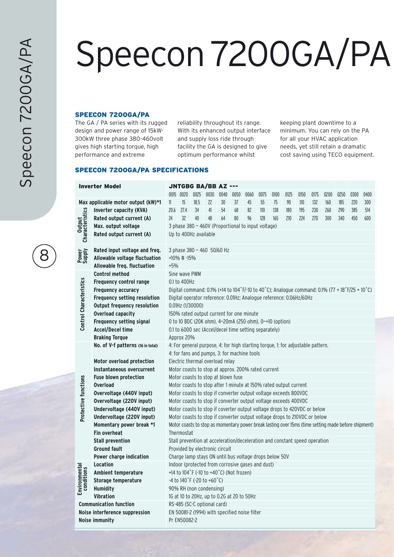# Speecon 7200GA/PA

#### SPEECON 7200GA/PA

The GA / PA series with its rugged design and power range of 15kW-300kW three phase 380-460volt gives high starting torque, high performance and extreme

reliability throughout its range. With its enhanced output interface and supply loss ride through facility the GA is designed to give optimum performance whilst

keeping plant downtime to a minimum. You can rely on the PA for all your HVAC application needs, yet still retain a dramatic cost saving using TECO equipment.

#### SPEECON 7200GA/PA SPECIFICATIONS

|                                | <b>Inverter Model</b>              | <b>JNTGBG BA/BB AZ ---</b>                                                      |               |      |                                |      |                                                    |      |      |                                                                            |      |      |      |                                                                                                     |      |      |      |
|--------------------------------|------------------------------------|---------------------------------------------------------------------------------|---------------|------|--------------------------------|------|----------------------------------------------------|------|------|----------------------------------------------------------------------------|------|------|------|-----------------------------------------------------------------------------------------------------|------|------|------|
|                                |                                    |                                                                                 | 0015 0020     |      | 0025 0030                      | 0040 | 0050                                               | 0060 | 0075 | 0100                                                                       | 0125 | 0150 | 0175 | 0200                                                                                                | 0250 | 0300 | 0400 |
|                                | Max applicable motor output (kW)*1 | 11                                                                              | 15            | 18.5 | 22                             | 30   | 37                                                 | 45   | 55   | 75                                                                         | 90   | 110  | 132  | 160                                                                                                 | 185  | 220  | 300  |
|                                | Inverter capacity (KVA)            | 20.6                                                                            | 27.4          | 34   | 41                             | 54   | 68                                                 | 82   | 110  | 138                                                                        | 180  | 195  | 230  | 260                                                                                                 | 290  | 385  | 514  |
| Output<br>Characteristics      | Rated output current (A)           | 24                                                                              | 32            | 40   | 48                             | 64   | 80                                                 | 96   | 128  | 165                                                                        | 210  | 224  | 270  | 300                                                                                                 | 340  | 450  | 600  |
|                                | Max. output voltage                |                                                                                 |               |      |                                |      | 3 phase 380 ~ 460V (Proportional to input voltage) |      |      |                                                                            |      |      |      |                                                                                                     |      |      |      |
|                                | Rated output current (A)           |                                                                                 |               |      | Up to 400Hz available          |      |                                                    |      |      |                                                                            |      |      |      |                                                                                                     |      |      |      |
|                                |                                    |                                                                                 |               |      |                                |      |                                                    |      |      |                                                                            |      |      |      |                                                                                                     |      |      |      |
|                                | Rated input voltage and freq.      |                                                                                 |               |      | 3 phase 380 ~ 460 50/60 Hz     |      |                                                    |      |      |                                                                            |      |      |      |                                                                                                     |      |      |      |
| Power<br>Supply                | Allowable voltage fluctuation      |                                                                                 | +10% # -15%   |      |                                |      |                                                    |      |      |                                                                            |      |      |      |                                                                                                     |      |      |      |
|                                | Allowable freq. fluctuation        | $+5%$                                                                           |               |      |                                |      |                                                    |      |      |                                                                            |      |      |      |                                                                                                     |      |      |      |
|                                | <b>Control method</b>              |                                                                                 | Sine wave PWM |      |                                |      |                                                    |      |      |                                                                            |      |      |      |                                                                                                     |      |      |      |
| <b>Control Characteristics</b> | Frequency control range            | 0.1 to 400Hz                                                                    |               |      |                                |      |                                                    |      |      |                                                                            |      |      |      |                                                                                                     |      |      |      |
|                                | Frequency accuracy                 |                                                                                 |               |      |                                |      |                                                    |      |      |                                                                            |      |      |      | Digital command: 0.1% (+14 to 104°F/-10 to 40°C); Analogue command: 0.1% (77 + 18°F/25 + 10°C)      |      |      |      |
|                                | Frequency setting resolution       | Digital operator reference: 0.01Hz; Analogue reference: 0.06Hz/60Hz             |               |      |                                |      |                                                    |      |      |                                                                            |      |      |      |                                                                                                     |      |      |      |
|                                | <b>Output frequency resolution</b> | 0.01Hz (1/30000)<br>150% rated output current for one minute                    |               |      |                                |      |                                                    |      |      |                                                                            |      |      |      |                                                                                                     |      |      |      |
|                                | <b>Overload capacity</b>           |                                                                                 |               |      |                                |      |                                                    |      |      |                                                                            |      |      |      |                                                                                                     |      |      |      |
|                                | <b>Frequency setting signal</b>    | 0 to 10 BDC (20K ohm), 4~20mA (250 ohm), 0~+10 (option)                         |               |      |                                |      |                                                    |      |      |                                                                            |      |      |      |                                                                                                     |      |      |      |
|                                | <b>Accel/Decel time</b>            | 0.1 to 6000 sec (Accel/decel time setting separately)                           |               |      |                                |      |                                                    |      |      |                                                                            |      |      |      |                                                                                                     |      |      |      |
|                                | <b>Braking Torque</b>              | Approx 20%                                                                      |               |      |                                |      |                                                    |      |      |                                                                            |      |      |      |                                                                                                     |      |      |      |
|                                | No. of V-f patterns (16 in total)  | 4: For general purpose, 4: for high starting torque, 1: for adjustable pattern, |               |      |                                |      |                                                    |      |      |                                                                            |      |      |      |                                                                                                     |      |      |      |
|                                |                                    | 4: for fans and pumps, 3: for machine tools                                     |               |      |                                |      |                                                    |      |      |                                                                            |      |      |      |                                                                                                     |      |      |      |
|                                | Motor overload protection          | Electric thermal overload relay                                                 |               |      |                                |      |                                                    |      |      |                                                                            |      |      |      |                                                                                                     |      |      |      |
|                                | Instantaneous overcurrent          | Motor coasts to stop at approx. 200% rated current                              |               |      |                                |      |                                                    |      |      |                                                                            |      |      |      |                                                                                                     |      |      |      |
|                                | <b>Fuse blown protection</b>       | Motor coasts to stop at blown fuse                                              |               |      |                                |      |                                                    |      |      |                                                                            |      |      |      |                                                                                                     |      |      |      |
| Protective functions           | <b>Overload</b>                    |                                                                                 |               |      |                                |      |                                                    |      |      | Motor coasts to stop after 1 minute at 150% rated output current           |      |      |      |                                                                                                     |      |      |      |
|                                | Overvoltage (440V input)           |                                                                                 |               |      |                                |      |                                                    |      |      | Motor coasts to stop if converter output voltage exceeds 800VDC            |      |      |      |                                                                                                     |      |      |      |
|                                | Overvoltage (220V input)           |                                                                                 |               |      |                                |      |                                                    |      |      | Motor coasts to stop if converter output voltage exceeds 400VDC            |      |      |      |                                                                                                     |      |      |      |
|                                | Undervoltage (440V input)          |                                                                                 |               |      |                                |      |                                                    |      |      | Motor coasts to stop if coverter output voltage drops to 420VDC or below   |      |      |      |                                                                                                     |      |      |      |
|                                | Undervoltage (220V input)          |                                                                                 |               |      |                                |      |                                                    |      |      | Motor coasts to stop if converter output voltage drops to 210VDC or below  |      |      |      |                                                                                                     |      |      |      |
|                                | Momentary power break *1           |                                                                                 |               |      |                                |      |                                                    |      |      |                                                                            |      |      |      | Motor coasts to stop as momentary power break lasting over 15ms (time setting made before shipment) |      |      |      |
|                                | <b>Fin overheat</b>                |                                                                                 | Thermostat    |      |                                |      |                                                    |      |      |                                                                            |      |      |      |                                                                                                     |      |      |      |
|                                | Stall prevention                   |                                                                                 |               |      |                                |      |                                                    |      |      | Stall prevention at acceleration/deceleration and constant speed operation |      |      |      |                                                                                                     |      |      |      |
|                                | <b>Ground fault</b>                |                                                                                 |               |      | Provided by electronic circuit |      |                                                    |      |      |                                                                            |      |      |      |                                                                                                     |      |      |      |
|                                | Power charge indication            |                                                                                 |               |      |                                |      |                                                    |      |      | Charge lamp stays ON until bus voltage drops below 50V                     |      |      |      |                                                                                                     |      |      |      |
|                                | <b>Location</b>                    |                                                                                 |               |      |                                |      | Indoor (protected from corrosive gases and dust)   |      |      |                                                                            |      |      |      |                                                                                                     |      |      |      |
|                                | Ambient temperature                |                                                                                 |               |      |                                |      | +14 to 104°F (-10 to +40°C) (Not frozen)           |      |      |                                                                            |      |      |      |                                                                                                     |      |      |      |
| Environmental<br>conditions    | Storage temperature                |                                                                                 |               |      | -4 to 140°F (-20 to +60°C)     |      |                                                    |      |      |                                                                            |      |      |      |                                                                                                     |      |      |      |
|                                | <b>Humidity</b>                    |                                                                                 |               |      | 90% RH (non condensing)        |      |                                                    |      |      |                                                                            |      |      |      |                                                                                                     |      |      |      |
|                                | <b>Vibration</b>                   | 1G at 10 to 20Hz, up to 0.2G at 20 to 50Hz                                      |               |      |                                |      |                                                    |      |      |                                                                            |      |      |      |                                                                                                     |      |      |      |
|                                | <b>Communication function</b>      |                                                                                 |               |      | RS-485 (SC-C optional card)    |      |                                                    |      |      |                                                                            |      |      |      |                                                                                                     |      |      |      |
|                                | Noise interference suppression     |                                                                                 |               |      |                                |      | EN 50081-2 (1994) with specified noise filter      |      |      |                                                                            |      |      |      |                                                                                                     |      |      |      |
|                                | Noise immunity                     |                                                                                 | Pr EN50082-2  |      |                                |      |                                                    |      |      |                                                                            |      |      |      |                                                                                                     |      |      |      |
|                                |                                    |                                                                                 |               |      |                                |      |                                                    |      |      |                                                                            |      |      |      |                                                                                                     |      |      |      |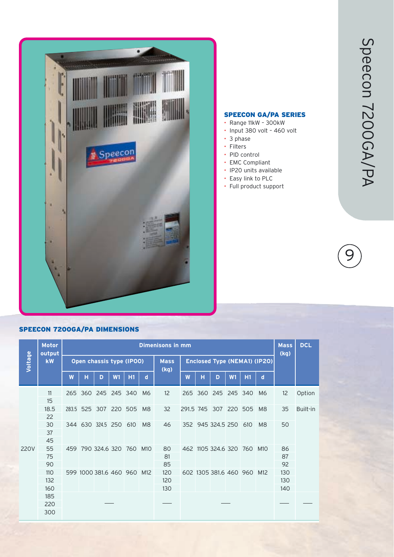

#### SPEECON GA/PA SERIES

- Range 11kW 300kW
- Input 380 volt 460 volt
- 3 phase
- Filters
- PID control
- EMC Compliant
- IP20 units available
- Easy link to PLC
- Full product support

### 9

#### SPEECON 7200GA/PA DIMENSIONS

|         | <b>Motor</b><br>output<br><b>kW</b> |     | <b>Dimenisons in mm</b> |                          |         |                        |                 |                     |     |                                     |                        |         |     |                |     |          |
|---------|-------------------------------------|-----|-------------------------|--------------------------|---------|------------------------|-----------------|---------------------|-----|-------------------------------------|------------------------|---------|-----|----------------|-----|----------|
| Voltage |                                     |     |                         | Open chassis type (IPOO) |         |                        |                 | <b>Mass</b><br>(kg) |     | <b>Enclosed Type (NEMA1) (IP20)</b> | (kq)                   |         |     |                |     |          |
|         |                                     | W   | н                       | D                        | W1      | H1                     | d               |                     | W   | н                                   | D                      | W1      | H1  | d              |     |          |
|         | 11<br>15                            |     |                         | 265 360 245              | 245 340 |                        | M6              | 12                  | 265 | 360                                 | 245                    | 245 340 |     | M6             | 12  | Option   |
|         | 18.5<br>22                          |     |                         | 283.5 525 307 220 505    |         |                        | M <sub>8</sub>  | 32                  |     |                                     | 291.5 745 307 220 505  |         |     | M8             | 35  | Built-in |
|         | 30<br>37                            |     |                         | 344 630 324.5 250        |         | 610                    | M <sub>8</sub>  | 46                  |     |                                     | 352 945 324.5 250      |         | 610 | M <sub>8</sub> | 50  |          |
|         | 45                                  |     |                         |                          |         |                        |                 |                     |     |                                     |                        |         |     |                |     |          |
| 220V    | 55                                  | 459 |                         | 790 324.6 320 760        |         |                        | M <sub>10</sub> | 80                  |     |                                     | 462 1105 324.6 320     |         | 760 | M10            | 86  |          |
|         | 75                                  |     |                         |                          |         |                        |                 | 81                  |     |                                     |                        |         |     |                | 87  |          |
|         | 90                                  |     |                         |                          |         |                        |                 | 85                  |     |                                     |                        |         |     |                | 92  |          |
|         | 110                                 |     |                         |                          |         | 599 1000 381.6 460 960 | M12             | 120                 |     |                                     | 602 1305 381.6 460 960 |         |     | M12            | 130 |          |
|         | 132                                 |     |                         |                          |         |                        |                 | 120                 |     |                                     |                        |         |     |                | 130 |          |
|         | 160                                 |     |                         |                          |         |                        |                 | 130                 |     |                                     |                        |         |     |                | 140 |          |
|         | 185                                 |     |                         |                          |         |                        |                 |                     |     |                                     |                        |         |     |                |     |          |
|         | 220                                 |     |                         |                          |         |                        |                 |                     |     |                                     |                        |         |     |                |     |          |
|         | 300                                 |     |                         |                          |         |                        |                 |                     |     |                                     |                        |         |     |                |     |          |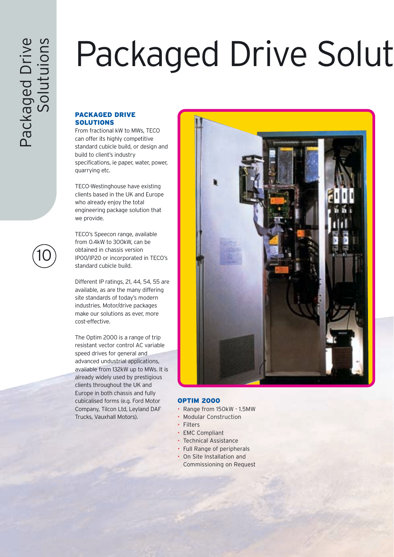# Packaged Drive Solut

#### PACKAGED DRIVE SOLUTIONS

From fractional kW to MWs, TECO can offer its highly competitive standard cubicle build, or design and build to client's industry specifications, ie paper, water, power, quarrying etc.

TECO-Westinghouse have existing clients based in the UK and Europe who already enjoy the total engineering package solution that we provide.

TECO's Speecon range, available from 0.4kW to 300kW, can be obtained in chassis version IP00/IP20 or incorporated in TECO's standard cubicle build.

Different IP ratings, 21, 44, 54, 55 are available, as are the many differing site standards of today's modern industries. Motor/drive packages make our solutions as ever, more cost-effective.

The Optim 2000 is a range of trip resistant vector control AC variable speed drives for general and advanced undustrial applications, available from 132kW up to MWs. It is already widely used by prestigious clients throughout the UK and Europe in both chassis and fully cubicalised forms (e.g. Ford Motor Company, Tilcon Ltd, Leyland DAF Trucks, Vauxhall Motors).



#### **OPTIM 2000**

- Range from 150kW 1.5MW
- Modular Construction
- Filters
- EMC Compliant
- Technical Assistance
- Full Range of peripherals
- On Site Installation and
- Commissioning on Request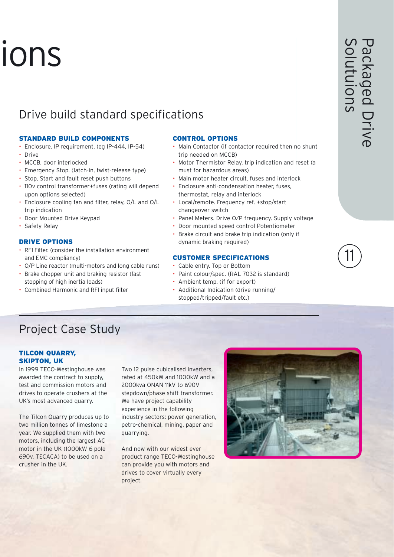# ions

### Drive build standard specifications

#### STANDARD BUILD COMPONENTS

- Enclosure. IP requirement. (eg IP-444, IP-54)
- Drive
- MCCB, door interlocked
- Emergency Stop. (latch-in, twist-release type)
- Stop, Start and fault reset push buttons
- 110v control transformer+fuses (rating will depend upon options selected)
- Enclosure cooling fan and filter, relay, O/L and O/L trip indication
- Door Mounted Drive Keypad
- Safety Relay

#### DRIVE OPTIONS

- RFI Filter. (consider the installation environment and EMC compliancy)
- O/P Line reactor (multi-motors and long cable runs)
- Brake chopper unit and braking resistor (fast stopping of high inertia loads)
- Combined Harmonic and RFI input filter

#### CONTROL OPTIONS

- Main Contactor (if contactor required then no shunt trip needed on MCCB)
- Motor Thermistor Relay, trip indication and reset (a must for hazardous areas)
- Main motor heater circuit, fuses and interlock
- Enclosure anti-condensation heater, fuses, thermostat, relay and interlock
- Local/remote. Frequency ref. +stop/start changeover switch
- Panel Meters. Drive O⁄P frequency. Supply voltage
- Door mounted speed control Potentiometer
- Brake circuit and brake trip indication (only if dynamic braking required)

#### CUSTOMER SPECIFICATIONS

- Cable entry. Top or Bottom
- Paint colour/spec. (RAL 7032 is standard)
- Ambient temp. (if for export)
- Additional Indication (drive running/ stopped/tripped/fault etc.)

### Project Case Study

#### TILCON QUARRY, SKIPTON, UK

In 1999 TECO-Westinghouse was awarded the contract to supply, test and commission motors and drives to operate crushers at the UK's most advanced quarry.

The Tilcon Quarry produces up to two million tonnes of limestone a year. We supplied them with two motors, including the largest AC motor in the UK (1000kW 6 pole 690v, TECACA) to be used on a crusher in the UK.

Two 12 pulse cubicalised inverters, rated at 450kW and 1000kW and a 2000kva ONAN 11kV to 690V stepdown/phase shift transformer. We have project capability experience in the following industry sectors: power generation, petro-chemical, mining, paper and quarrying.

And now with our widest ever product range TECO-Westinghouse can provide you with motors and drives to cover virtually every project.



11